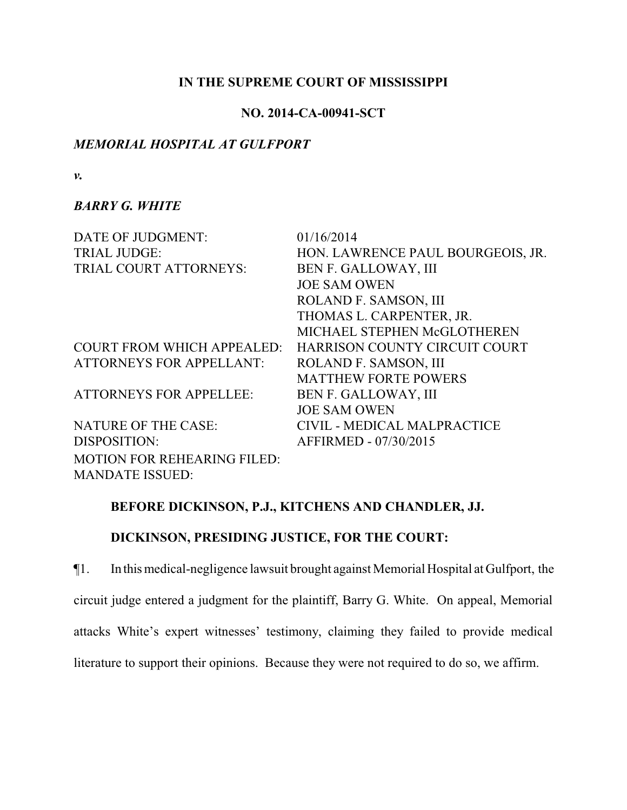### **IN THE SUPREME COURT OF MISSISSIPPI**

## **NO. 2014-CA-00941-SCT**

# *MEMORIAL HOSPITAL AT GULFPORT*

*v.*

## *BARRY G. WHITE*

| DATE OF JUDGMENT:                  | 01/16/2014                        |
|------------------------------------|-----------------------------------|
| <b>TRIAL JUDGE:</b>                | HON. LAWRENCE PAUL BOURGEOIS, JR. |
| TRIAL COURT ATTORNEYS:             | BEN F. GALLOWAY, III              |
|                                    | <b>JOE SAM OWEN</b>               |
|                                    | ROLAND F. SAMSON, III             |
|                                    | THOMAS L. CARPENTER, JR.          |
|                                    | MICHAEL STEPHEN McGLOTHEREN       |
| <b>COURT FROM WHICH APPEALED:</b>  | HARRISON COUNTY CIRCUIT COURT     |
| <b>ATTORNEYS FOR APPELLANT:</b>    | ROLAND F. SAMSON, III             |
|                                    | <b>MATTHEW FORTE POWERS</b>       |
| <b>ATTORNEYS FOR APPELLEE:</b>     | <b>BEN F. GALLOWAY, III</b>       |
|                                    | <b>JOE SAM OWEN</b>               |
| <b>NATURE OF THE CASE:</b>         | CIVIL - MEDICAL MALPRACTICE       |
| DISPOSITION:                       | AFFIRMED - 07/30/2015             |
| <b>MOTION FOR REHEARING FILED:</b> |                                   |
| <b>MANDATE ISSUED:</b>             |                                   |

# **BEFORE DICKINSON, P.J., KITCHENS AND CHANDLER, JJ.**

# **DICKINSON, PRESIDING JUSTICE, FOR THE COURT:**

¶1. In this medical-negligence lawsuit brought against Memorial Hospital at Gulfport, the circuit judge entered a judgment for the plaintiff, Barry G. White. On appeal, Memorial attacks White's expert witnesses' testimony, claiming they failed to provide medical

literature to support their opinions. Because they were not required to do so, we affirm.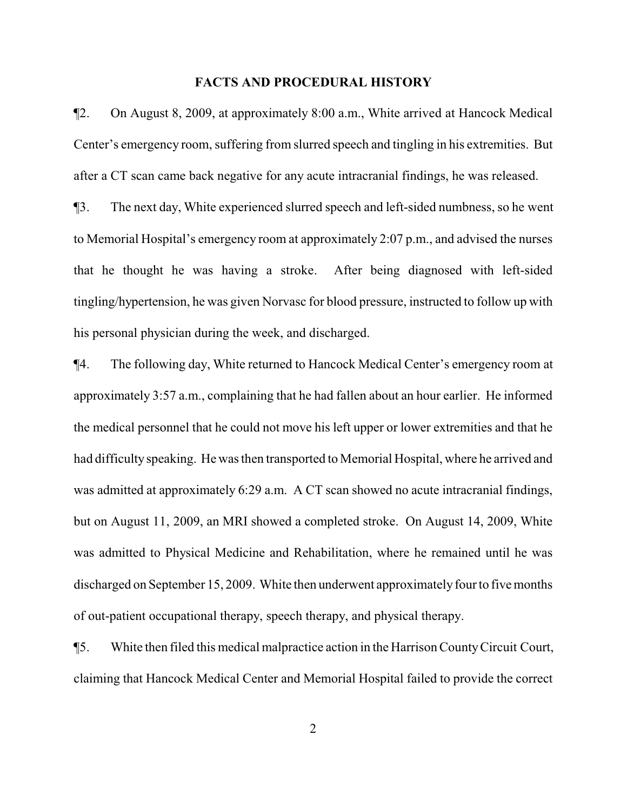#### **FACTS AND PROCEDURAL HISTORY**

¶2. On August 8, 2009, at approximately 8:00 a.m., White arrived at Hancock Medical Center's emergency room, suffering from slurred speech and tingling in his extremities. But after a CT scan came back negative for any acute intracranial findings, he was released.

¶3. The next day, White experienced slurred speech and left-sided numbness, so he went to Memorial Hospital's emergency room at approximately 2:07 p.m., and advised the nurses that he thought he was having a stroke. After being diagnosed with left-sided tingling/hypertension, he was given Norvasc for blood pressure, instructed to follow up with his personal physician during the week, and discharged.

¶4. The following day, White returned to Hancock Medical Center's emergency room at approximately 3:57 a.m., complaining that he had fallen about an hour earlier. He informed the medical personnel that he could not move his left upper or lower extremities and that he had difficulty speaking. He was then transported to Memorial Hospital, where he arrived and was admitted at approximately 6:29 a.m. A CT scan showed no acute intracranial findings, but on August 11, 2009, an MRI showed a completed stroke. On August 14, 2009, White was admitted to Physical Medicine and Rehabilitation, where he remained until he was discharged on September 15, 2009. White then underwent approximately four to five months of out-patient occupational therapy, speech therapy, and physical therapy.

¶5. White then filed this medical malpractice action in the Harrison CountyCircuit Court, claiming that Hancock Medical Center and Memorial Hospital failed to provide the correct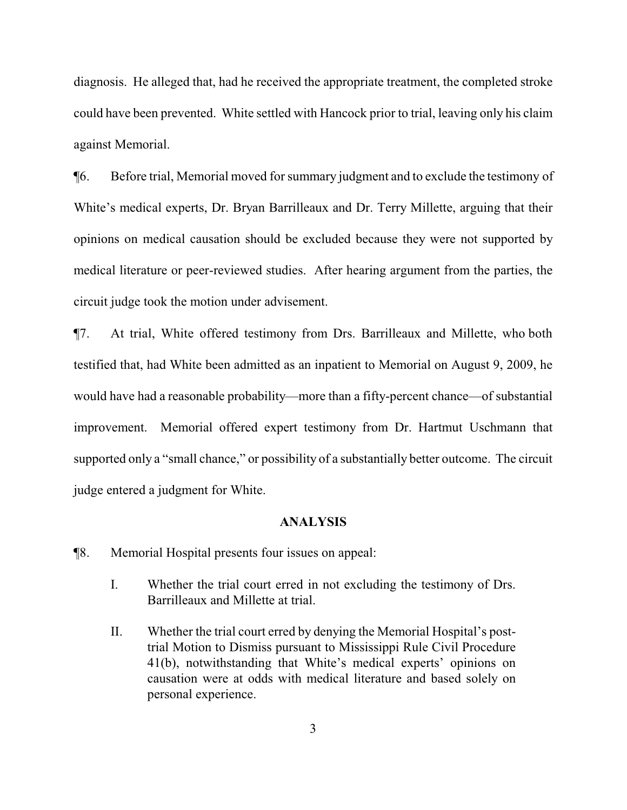diagnosis. He alleged that, had he received the appropriate treatment, the completed stroke could have been prevented. White settled with Hancock prior to trial, leaving only his claim against Memorial.

¶6. Before trial, Memorial moved for summary judgment and to exclude the testimony of White's medical experts, Dr. Bryan Barrilleaux and Dr. Terry Millette, arguing that their opinions on medical causation should be excluded because they were not supported by medical literature or peer-reviewed studies. After hearing argument from the parties, the circuit judge took the motion under advisement.

¶7. At trial, White offered testimony from Drs. Barrilleaux and Millette, who both testified that, had White been admitted as an inpatient to Memorial on August 9, 2009, he would have had a reasonable probability—more than a fifty-percent chance—of substantial improvement. Memorial offered expert testimony from Dr. Hartmut Uschmann that supported only a "small chance," or possibility of a substantially better outcome. The circuit judge entered a judgment for White.

#### **ANALYSIS**

¶8. Memorial Hospital presents four issues on appeal:

- I. Whether the trial court erred in not excluding the testimony of Drs. Barrilleaux and Millette at trial.
- II. Whether the trial court erred by denying the Memorial Hospital's posttrial Motion to Dismiss pursuant to Mississippi Rule Civil Procedure 41(b), notwithstanding that White's medical experts' opinions on causation were at odds with medical literature and based solely on personal experience.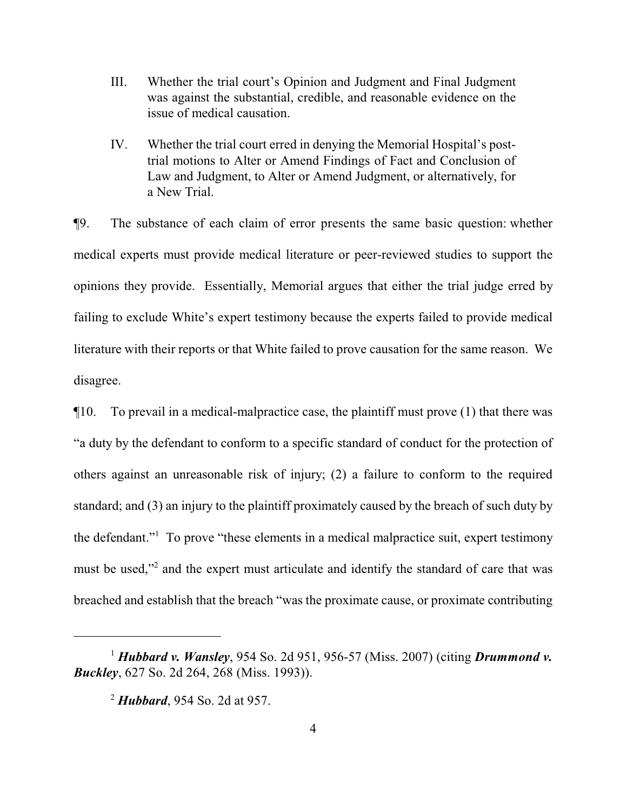- III. Whether the trial court's Opinion and Judgment and Final Judgment was against the substantial, credible, and reasonable evidence on the issue of medical causation.
- IV. Whether the trial court erred in denying the Memorial Hospital's posttrial motions to Alter or Amend Findings of Fact and Conclusion of Law and Judgment, to Alter or Amend Judgment, or alternatively, for a New Trial.

¶9. The substance of each claim of error presents the same basic question: whether medical experts must provide medical literature or peer-reviewed studies to support the opinions they provide. Essentially, Memorial argues that either the trial judge erred by failing to exclude White's expert testimony because the experts failed to provide medical literature with their reports or that White failed to prove causation for the same reason. We disagree.

¶10. To prevail in a medical-malpractice case, the plaintiff must prove (1) that there was "a duty by the defendant to conform to a specific standard of conduct for the protection of others against an unreasonable risk of injury; (2) a failure to conform to the required standard; and (3) an injury to the plaintiff proximately caused by the breach of such duty by the defendant."<sup>1</sup> To prove "these elements in a medical malpractice suit, expert testimony must be used,"<sup>2</sup> and the expert must articulate and identify the standard of care that was breached and establish that the breach "was the proximate cause, or proximate contributing

<sup>1</sup> *Hubbard v. Wansley*, 954 So. 2d 951, 956-57 (Miss. 2007) (citing *Drummond v. Buckley*, 627 So. 2d 264, 268 (Miss. 1993)).

<sup>2</sup> *Hubbard*, 954 So. 2d at 957.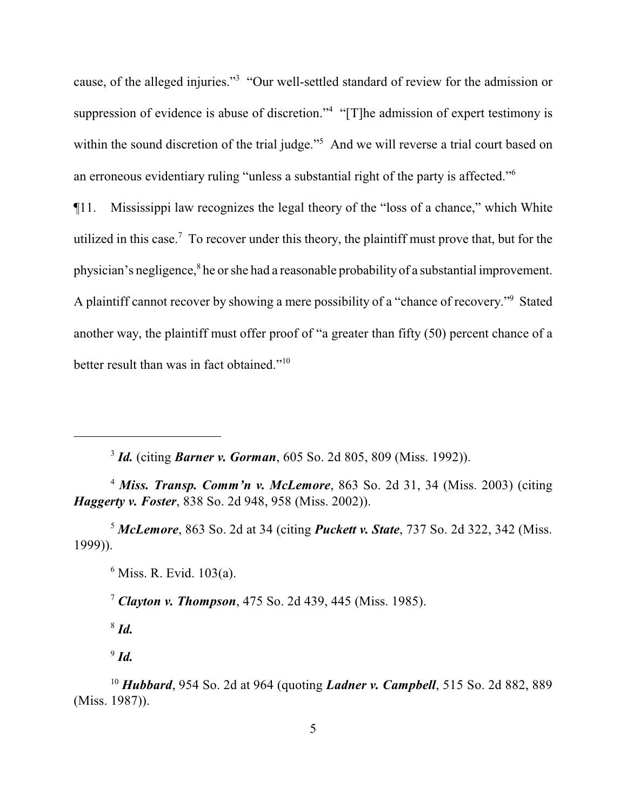cause, of the alleged injuries."<sup>3</sup> "Our well-settled standard of review for the admission or suppression of evidence is abuse of discretion."<sup>4</sup> "[T]he admission of expert testimony is within the sound discretion of the trial judge."<sup>5</sup> And we will reverse a trial court based on an erroneous evidentiary ruling "unless a substantial right of the party is affected."<sup>6</sup>

¶11. Mississippi law recognizes the legal theory of the "loss of a chance," which White utilized in this case.<sup>7</sup> To recover under this theory, the plaintiff must prove that, but for the physician's negligence,<sup>8</sup> he or she had a reasonable probability of a substantial improvement. A plaintiff cannot recover by showing a mere possibility of a "chance of recovery."<sup>9</sup> Stated another way, the plaintiff must offer proof of "a greater than fifty (50) percent chance of a better result than was in fact obtained."<sup>10</sup>

3 *Id.* (citing *Barner v. Gorman*, 605 So. 2d 805, 809 (Miss. 1992)).

<sup>4</sup> *Miss. Transp. Comm'n v. McLemore*, 863 So. 2d 31, 34 (Miss. 2003) (citing *Haggerty v. Foster*, 838 So. 2d 948, 958 (Miss. 2002)).

<sup>5</sup> *McLemore*, 863 So. 2d at 34 (citing *Puckett v. State*, 737 So. 2d 322, 342 (Miss. 1999)).

6 Miss. R. Evid. 103(a).

<sup>7</sup> *Clayton v. Thompson*, 475 So. 2d 439, 445 (Miss. 1985).

8  *Id.*

9 *Id.*

<sup>10</sup> *Hubbard*, 954 So. 2d at 964 (quoting *Ladner v. Campbell*, 515 So. 2d 882, 889 (Miss. 1987)).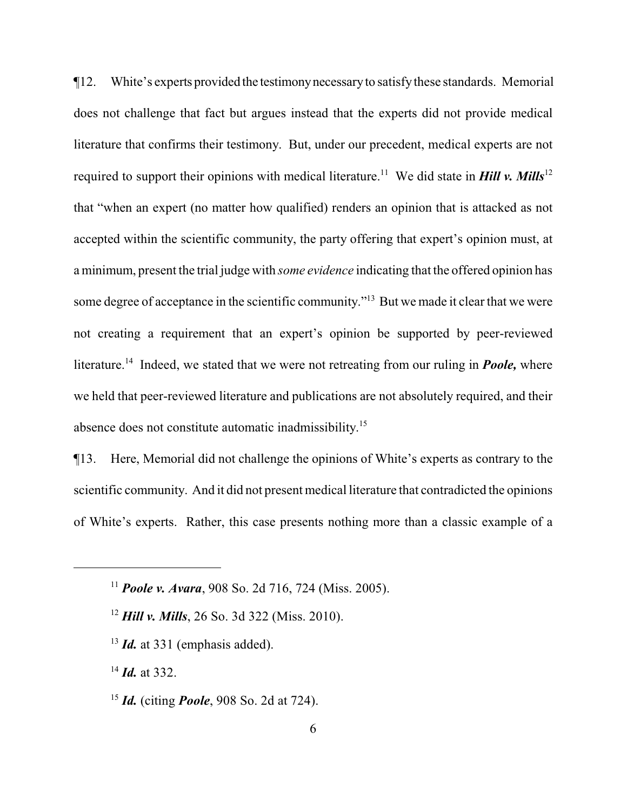¶12. White's experts provided the testimonynecessaryto satisfythese standards. Memorial does not challenge that fact but argues instead that the experts did not provide medical literature that confirms their testimony. But, under our precedent, medical experts are not required to support their opinions with medical literature.<sup>11</sup> We did state in **Hill v. Mills**<sup>12</sup> that "when an expert (no matter how qualified) renders an opinion that is attacked as not accepted within the scientific community, the party offering that expert's opinion must, at a minimum, present the trial judge with *some evidence* indicating that the offered opinion has some degree of acceptance in the scientific community."<sup>13</sup> But we made it clear that we were not creating a requirement that an expert's opinion be supported by peer-reviewed literature.<sup>14</sup> Indeed, we stated that we were not retreating from our ruling in *Poole*, where we held that peer-reviewed literature and publications are not absolutely required, and their absence does not constitute automatic inadmissibility.<sup>15</sup>

¶13. Here, Memorial did not challenge the opinions of White's experts as contrary to the scientific community. And it did not present medical literature that contradicted the opinions of White's experts. Rather, this case presents nothing more than a classic example of a

<sup>13</sup> *Id.* at 331 (emphasis added).

<sup>14</sup> *Id.* at 332.

<sup>15</sup> *Id.* (citing *Poole*, 908 So. 2d at 724).

<sup>11</sup> *Poole v. Avara*, 908 So. 2d 716, 724 (Miss. 2005).

<sup>12</sup> *Hill v. Mills*, 26 So. 3d 322 (Miss. 2010).